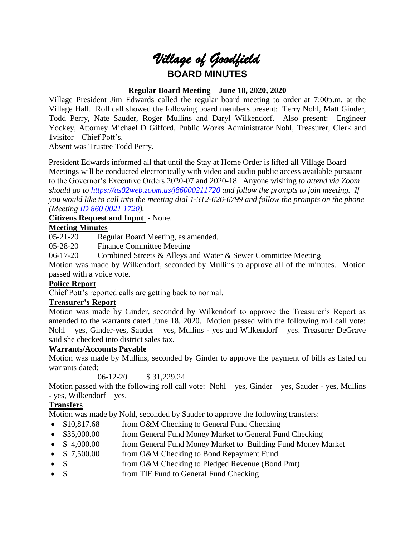

# **Regular Board Meeting – June 18, 2020, 2020**

Village President Jim Edwards called the regular board meeting to order at 7:00p.m. at the Village Hall. Roll call showed the following board members present: Terry Nohl, Matt Ginder, Todd Perry, Nate Sauder, Roger Mullins and Daryl Wilkendorf. Also present: Engineer Yockey, Attorney Michael D Gifford, Public Works Administrator Nohl, Treasurer, Clerk and 1visitor – Chief Pott's.

Absent was Trustee Todd Perry.

President Edwards informed all that until the Stay at Home Order is lifted all Village Board Meetings will be conducted electronically with video and audio public access available pursuant to the Governor's Executive Orders 2020-07 and 2020-18. Anyone wishing *to attend via Zoom should go to <https://us02web.zoom.us/j86000211720> and follow the prompts to join meeting. If you would like to call into the meeting dial 1-312-626-6799 and follow the prompts on the phone (Meeting ID 860 0021 1720).*

# **Citizens Request and Input** - None.

### **Meeting Minutes**

05-21-20 Regular Board Meeting, as amended.

05-28-20 Finance Committee Meeting

06-17-20 Combined Streets & Alleys and Water & Sewer Committee Meeting

Motion was made by Wilkendorf, seconded by Mullins to approve all of the minutes. Motion passed with a voice vote.

#### **Police Report**

Chief Pott's reported calls are getting back to normal.

### **Treasurer's Report**

Motion was made by Ginder, seconded by Wilkendorf to approve the Treasurer's Report as amended to the warrants dated June 18, 2020. Motion passed with the following roll call vote: Nohl – yes, Ginder-yes, Sauder – yes, Mullins - yes and Wilkendorf – yes. Treasurer DeGrave said she checked into district sales tax.

### **Warrants/Accounts Payable**

Motion was made by Mullins, seconded by Ginder to approve the payment of bills as listed on warrants dated:

06-12-20 \$ 31,229.24

Motion passed with the following roll call vote: Nohl – yes, Ginder – yes, Sauder - yes, Mullins - yes, Wilkendorf – yes.

### **Transfers**

Motion was made by Nohl, seconded by Sauder to approve the following transfers:

- \$10,817.68 from O&M Checking to General Fund Checking
- \$35,000.00 from General Fund Money Market to General Fund Checking
- \$4,000.00 from General Fund Money Market to Building Fund Money Market
- \$ 7,500.00 from O&M Checking to Bond Repayment Fund
- \$ from O&M Checking to Pledged Revenue (Bond Pmt)
- \$ from TIF Fund to General Fund Checking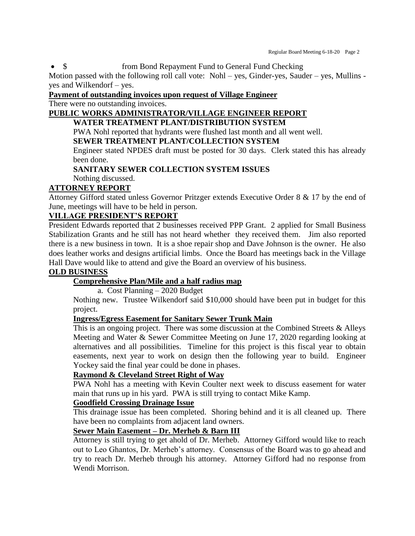• \$ from Bond Repayment Fund to General Fund Checking

Motion passed with the following roll call vote: Nohl – yes, Ginder-yes, Sauder – yes, Mullins yes and Wilkendorf – yes.

# **Payment of outstanding invoices upon request of Village Engineer**

There were no outstanding invoices.

# **PUBLIC WORKS ADMINISTRATOR/VILLAGE ENGINEER REPORT**

## **WATER TREATMENT PLANT/DISTRIBUTION SYSTEM**

PWA Nohl reported that hydrants were flushed last month and all went well.

### **SEWER TREATMENT PLANT/COLLECTION SYSTEM**

Engineer stated NPDES draft must be posted for 30 days. Clerk stated this has already been done.

## **SANITARY SEWER COLLECTION SYSTEM ISSUES**

Nothing discussed.

### **ATTORNEY REPORT**

Attorney Gifford stated unless Governor Pritzger extends Executive Order 8 & 17 by the end of June, meetings will have to be held in person.

### **VILLAGE PRESIDENT'S REPORT**

President Edwards reported that 2 businesses received PPP Grant. 2 applied for Small Business Stabilization Grants and he still has not heard whether they received them. Jim also reported there is a new business in town. It is a shoe repair shop and Dave Johnson is the owner. He also does leather works and designs artificial limbs. Once the Board has meetings back in the Village Hall Dave would like to attend and give the Board an overview of his business.

### **OLD BUSINESS**

# **Comprehensive Plan/Mile and a half radius map**

a. Cost Planning – 2020 Budget

Nothing new. Trustee Wilkendorf said \$10,000 should have been put in budget for this project.

### **Ingress/Egress Easement for Sanitary Sewer Trunk Main**

This is an ongoing project. There was some discussion at the Combined Streets  $\&$  Alleys Meeting and Water & Sewer Committee Meeting on June 17, 2020 regarding looking at alternatives and all possibilities. Timeline for this project is this fiscal year to obtain easements, next year to work on design then the following year to build. Engineer Yockey said the final year could be done in phases.

## **Raymond & Cleveland Street Right of Way**

PWA Nohl has a meeting with Kevin Coulter next week to discuss easement for water main that runs up in his yard. PWA is still trying to contact Mike Kamp.

### **Goodfield Crossing Drainage Issue**

This drainage issue has been completed. Shoring behind and it is all cleaned up. There have been no complaints from adjacent land owners.

# **Sewer Main Easement – Dr. Merheb & Barn III**

Attorney is still trying to get ahold of Dr. Merheb. Attorney Gifford would like to reach out to Leo Ghantos, Dr. Merheb's attorney. Consensus of the Board was to go ahead and try to reach Dr. Merheb through his attorney. Attorney Gifford had no response from Wendi Morrison.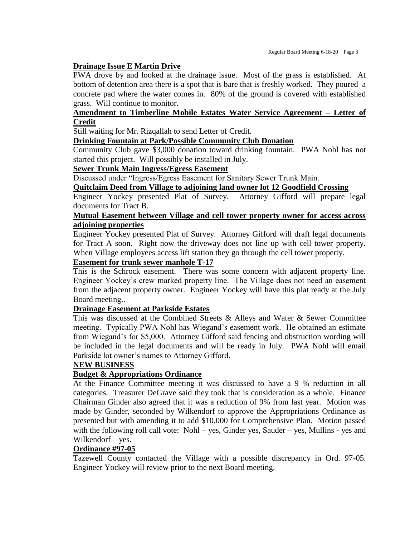#### **Drainage Issue E Martin Drive**

PWA drove by and looked at the drainage issue. Most of the grass is established. At bottom of detention area there is a spot that is bare that is freshly worked. They poured a concrete pad where the water comes in. 80% of the ground is covered with established grass. Will continue to monitor.

## **Amendment to Timberline Mobile Estates Water Service Agreement – Letter of Credit**

Still waiting for Mr. Rizqallah to send Letter of Credit.

#### **Drinking Fountain at Park/Possible Community Club Donation**

Community Club gave \$3,000 donation toward drinking fountain. PWA Nohl has not started this project. Will possibly be installed in July.

#### **Sewer Trunk Main Ingress/Egress Easement**

Discussed under "Ingress/Egress Easement for Sanitary Sewer Trunk Main.

## **Quitclaim Deed from Village to adjoining land owner lot 12 Goodfield Crossing**

Engineer Yockey presented Plat of Survey. Attorney Gifford will prepare legal documents for Tract B.

## **Mutual Easement between Village and cell tower property owner for access across adjoining properties**

Engineer Yockey presented Plat of Survey. Attorney Gifford will draft legal documents for Tract A soon. Right now the driveway does not line up with cell tower property. When Village employees access lift station they go through the cell tower property.

## **Easement for trunk sewer manhole T-17**

This is the Schrock easement. There was some concern with adjacent property line. Engineer Yockey's crew marked property line. The Village does not need an easement from the adjacent property owner. Engineer Yockey will have this plat ready at the July Board meeting..

#### **Drainage Easement at Parkside Estates**

This was discussed at the Combined Streets & Alleys and Water & Sewer Committee meeting. Typically PWA Nohl has Wiegand's easement work. He obtained an estimate from Wiegand's for \$5,000. Attorney Gifford said fencing and obstruction wording will be included in the legal documents and will be ready in July. PWA Nohl will email Parkside lot owner's names to Attorney Gifford.

#### **NEW BUSINESS**

### **Budget & Appropriations Ordinance**

At the Finance Committee meeting it was discussed to have a 9 % reduction in all categories. Treasurer DeGrave said they took that is consideration as a whole. Finance Chairman Ginder also agreed that it was a reduction of 9% from last year. Motion was made by Ginder, seconded by Wilkendorf to approve the Appropriations Ordinance as presented but with amending it to add \$10,000 for Comprehensive Plan. Motion passed with the following roll call vote: Nohl – yes, Ginder yes, Sauder – yes, Mullins - yes and Wilkendorf – yes.

#### **Ordinance #97-05**

Tazewell County contacted the Village with a possible discrepancy in Ord. 97-05. Engineer Yockey will review prior to the next Board meeting.